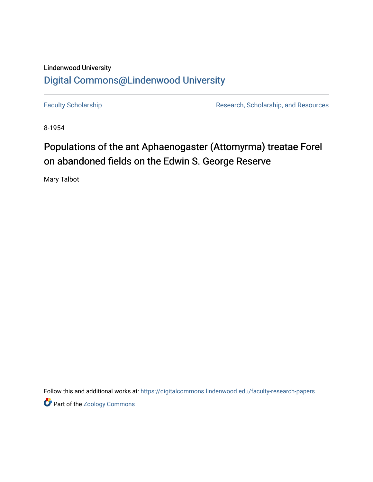## Lindenwood University [Digital Commons@Lindenwood University](https://digitalcommons.lindenwood.edu/)

[Faculty Scholarship](https://digitalcommons.lindenwood.edu/faculty-research-papers) **Research, Scholarship, and Resources** Research, Scholarship, and Resources

8-1954

# Populations of the ant Aphaenogaster (Attomyrma) treatae Forel on abandoned fields on the Edwin S. George Reserve

Mary Talbot

Follow this and additional works at: [https://digitalcommons.lindenwood.edu/faculty-research-papers](https://digitalcommons.lindenwood.edu/faculty-research-papers?utm_source=digitalcommons.lindenwood.edu%2Ffaculty-research-papers%2F320&utm_medium=PDF&utm_campaign=PDFCoverPages)

Part of the [Zoology Commons](http://network.bepress.com/hgg/discipline/81?utm_source=digitalcommons.lindenwood.edu%2Ffaculty-research-papers%2F320&utm_medium=PDF&utm_campaign=PDFCoverPages)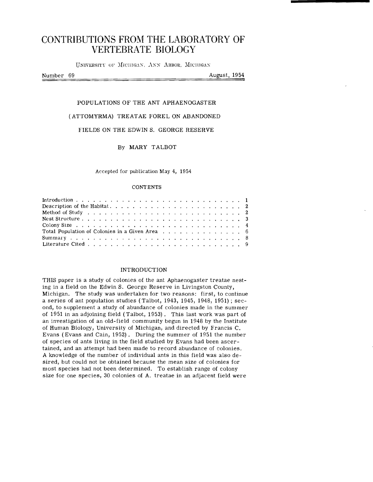## **CONTRIBUTIONS FROM THE LABORATORY OF VERTEBRATE BIOLOGY**

UNIVERSITY OF MICHIGAN, ANN ARBOR, MICHIGAX

Number 69

August, 1954

#### POPULATIONS OF THE ANT APHAENOGASTER

#### (ATTOMYRMA) TREATAE FOREL ON ABANDONED

#### FIELDS ON THE EDWIN S. GEORGE RESERVE

### By MARY TALBOT

Accepted for publication May 4, 1954

#### **CONTENTS**

#### INTRODUCTION

THIS paper is a study of colonies of the ant Aphaenogaster treatae nesting in a field on the Edwin S. George Reserve in LiVingston County, Michigan. The study was undertaken for two reasons: first, to continue a series of ant population studies (Talbot, 1943, 1945, 1948, 1951); second, to supplement a study of abundance of colonies made in the summer of 1951 in an adjoining field (Talbot, 1953). This last work was part of an investigation of an old-field community begun in 1948 by the Institute of Human Biology, University of Michigan, and directed by Francis C. Evans (Evans and Cain, 1952). During the summer of 1951 the number of species of ants living in the field studied by Evans had been ascertained, and an attempt had been made to record abundance of colonies. A knowledge of the number of individual ants in this field was also desired, but could not be obtained because the mean size of colonies for most species had not been determined. To establish range of colony size for one species, 30 colonies of A. treatae in an adjacent field were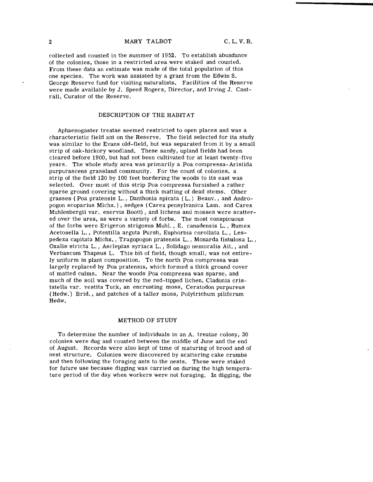collected and counted in the summer of 1952. To establish abundance of the colonies, those in a restricted area were staked and counted. From these data an estimate was made of the total population of this one species. The work was assisted by a grant from the Edwin S. George Reserve fund for visiting naturalists. Facilities of the Reserve were made available by J. Speed Rogers, Director, and Irving J. Cantrall, Curator of the Reserve.

#### DESCRIPTION OF THE HABITAT

Aphaenogaster treatae seemed restricted to open places and was a characteristic field ant on the Reserve. The field selected for its study was similar to the Evans old-field, but was separated from it by a small strip of oak-hickory woodland. These sandy, upland fields had been cleared before 1900, but had not been cultivated for at least twenty-five years. The whole study area was primarily a Poa compressa-Aristida purpurascens grassland community. For the count of colonies, a strip of the field 120 by 100 feet bordering the woods to its east was selected. Over most of this strip Poa compressa furnished a rather sparse ground covering without a thick matting of dead stems. Other grasses (Poa pratensis L. , Danthonia spicata (L.) Beauv., and Andropogon scoparius Michx.) , sedges (Carex pensylvanica Lam. and Carex Muhlenbergii var. enervis Boott) , and lichens and mosses were scattered over the area, as were a variety of forbs. The most conspicuous of the forbs were Erigeron strigosus Muhl. , E. canadensis L., Rumex Acetosella L., Potentilla arguta Pursh, Euphorbia corollata L., Lespedeza capitata Michx., Tragopogon pratensis L., Monarda fistulosa L., Oxalis-stricta L., Asclepias syriaca L. , Solidago nemoralis Ait. , and Verbascum Thapsus L. This bit of field, though small, was not entirely uniform in plant composition. To the north Poa compressa was largely replaced by Poa pratensis, which formed a thick ground cover of matted culms. Near the woods Poa compressa was sparse, and much of the soil was covered by the red-tipped lichen, Cladonia cristatella var. vestita Tuck, an encrusting moss, Ceratodon purpureus (Hedw:) Brid., and patches of a taller moss, Polytrichum piliferum Hedw.

#### METHOD OF STUDY

To determine the number of individuals in an A. treatae colony, 30 colonies were dug and counted between the middle of June and the end of August. Records were also kept of time of maturing of brood and of nest structure. Colonies were discovered by scattering cake crumbs and then following the foraging ants to the nests. These were staked for future use because digging was carried on during the high temperature period of the day when workers were not foraging. In digging, the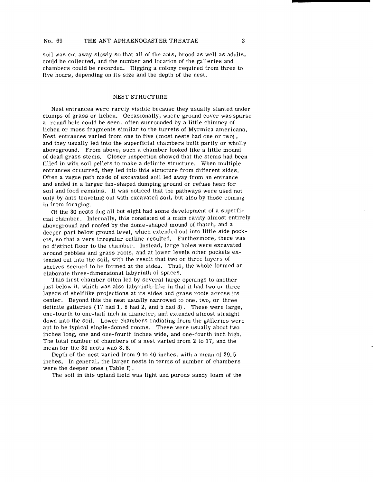soil was cut away slowly so that all of the ants, brood as well as adults, could be collected, and the number and location of the galleries and chambers could be recorded. Digging a colony required from three to five hours, depending on its size and the depth of the nest.

#### NEST STRUCTURE

Nest entrances were rarely visible because they usually slanted under clumps of grass or lichen. Occasionally, where ground cover was sparse a round hole could be seen, often surrounded by a little chimney of lichen or moss fragments similar to the turrets of Myrmica americana. Nest entrances varied from one to five (most nests had one or two) , and they usually led into the superficial chambers built partly or wholly aboveground. From above, such a chamber looked like a little mound of dead grass stems. Closer inspection showed that the stems had been filled in with soil pellets to make a definite structure. When multiple entrances occurred, they led into this structure from different sides. Often a vague path made of excavated soil led away from an entrance and ended in a larger fan-shaped dumping ground or refuse heap for soil and food remains. It was noticed that the pathways were used not only by ants traveling out with excavated soil, but also by those coming in from foraging.

Of the 30 nests dug all but eight had some development of a superficial chamber. Internally, this consisted of a main cavity almost entirely aboveground and roofed by the dome-shaped mound of thatch, and a deeper part below ground level, which extended out into little side pockets, so that a very irregular outline resulted. Furthermore, there was no distinct floor to the chamber. Instead, large holes were excavated around pebbles and grass roots, and at lower levels other pockets extended out into the soil, with the result that two or three layers of shelves seemed to be formed at the Sides. Thus, the whole formed an elaborate three-dimensional labyrinth of spaces.

This first chamber often led by several large openings to another just below it, which was also labyrinth-like in that it had two or three layers of shelflike projections at its sides and grass roots across its center. Beyond this the nest usually narrowed to one, two, or three definite galleries (17 had 1, 8 had 2, and 5 had 3). These were large, one-fourth to one-half inch in diameter, and extended almost straight down into the soil. Lower chambers radiating from the galleries were apt to be typical single-domed rooms. These were usually about two inches long, one and one-fourth inches wide, and one-fourth inch high. The total number of chambers of a nest varied from 2 to 17, and the mean for the 30 nests was 8.8.

Depth of the nest varied from 9 to 40 inches, with a mean of 29. 5 inches. In general, the larger nests in terms of number of chambers were the deeper ones (Table I) .

The soil in this upland field was light and porous sandy loam of the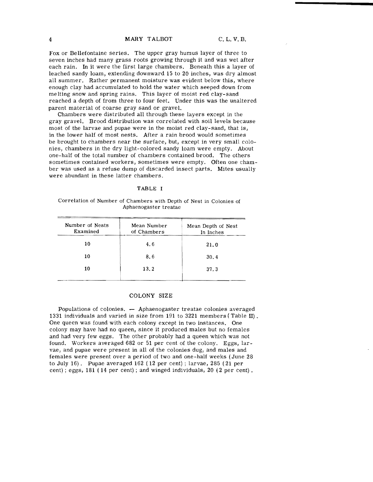Fox or Bellefontaine series. The upper gray humus layer of three to seven inches had many grass roots growing through it and was wet after each rain. In it were the first large chambers. Beneath this a layer of leached sandy loam, extending downward 15 to 20 inches, was dry almost all summer. Rather permanent moisture was evident below this, where enough clay had accumulated to hold the water which seeped down from melting snow and spring rains. This layer of moist red clay-sand reached a depth of from three to four feet. Under this was the unaltered parent material of coarse gray sand or gravel.

Chambers were distributed all through these layers except in the gray gravel. Brood distribution was correlated with soil levels because most of the larvae and pupae were in the moist red clay-sand, that is, in the lower half of most nests. After a rain brood would sometimes be brought to chambers near the surface, but, except in very small colonies, chambers in the dry light-colored sandy loam were empty. About one-half of the total number of chambers contained brood. The others sometimes contained workers, sometimes were empty. Often one chamber was used as a refuse dump of discarded insect parts. Mites usually were abundant in these latter chambers.

#### TABLE I

Correlation of Number of Chambers with Depth of Nest in Colonies of Aphaenogaster treatae

| Mean Number<br>of Chambers | Mean Depth of Nest<br>In Inches |  |  |  |
|----------------------------|---------------------------------|--|--|--|
| 4.6                        | 21.0                            |  |  |  |
| 8.6                        | 30.4                            |  |  |  |
| 13.2                       | 37.3                            |  |  |  |
|                            |                                 |  |  |  |

#### COLONY SIZE

Populations of colonies. - Aphaenogaster treatae colonies averaged 1331 individuals and varied in size from 191 to 3221 members ( Table II) . One queen was found with each colony except in two instances. One colony may have had no queen, since it produced males but no females and had very few eggs. The other probably had a queen which was not found. Workers averaged 682 or 51 per cent of the colony. Eggs, larvae, and pupae were present in all of the colonies dug, and males and females were present over a period of two and one-half weeks (June 28 to July 16). Pupae averaged 162 (12 per cent) ; larvae, 285 (21 per cent); eggs, 181 (14 per cent); and winged individuals, 20 (2 per cent).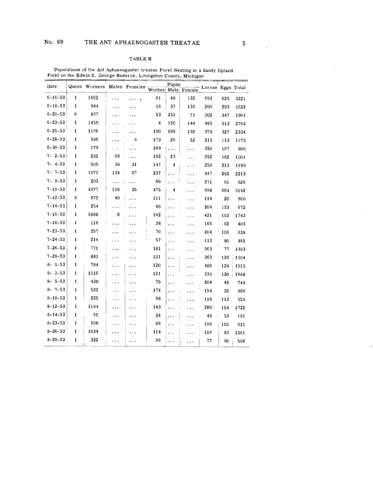### TABLE II

| Date          |              | Queen Workers, Males; Females Worker |           |         |          | Pupae     | Male Female | - Larvae Eggs Total |     |      |
|---------------|--------------|--------------------------------------|-----------|---------|----------|-----------|-------------|---------------------|-----|------|
| $6 - 16 - 53$ | 1            | 1662                                 | .         | .       | 61       | 48        | 132         | 692                 | 625 | 3221 |
| $6 - 18 - 53$ | 1            | 944                                  |           |         | 16       | 37        | 131         | 200                 | 293 | 1622 |
| $6 - 20 - 53$ | $\Omega$     | 877                                  | .         |         | 53       | 251       | 71          | 302                 | 347 | 1901 |
| $6 - 23 - 53$ | 1            | 1450                                 | .         |         | 4        | 156       | 144         | 495                 | 513 | 2763 |
| $6 - 25 - 53$ | 1            | 1196                                 | .         |         | 100      | 199       | 132         | 379                 | 327 | 2334 |
| $6 - 28 - 53$ | 1            | 586                                  | .         | 9       | 173      | 26        | 52          | 215                 | 113 | 1175 |
| $6 - 30 - 53$ | 1            | 179                                  | .         | .       | 109      | $\ddotsc$ | .           | 350                 | 167 | 806  |
| $7 - 2 - 53$  | $\mathbf{1}$ | 282                                  | 59        | المناور | 162      | 23        | .           | 292                 | 182 | 1001 |
| $7 - 4 - 53$  | 1            | 505                                  | 39        | 31      | 147      | 4         | .           | 250                 | 213 | 1190 |
| $7 - 7 - 53$  | 1            | 1071                                 | 138       | 67      | 237      | $\ddotsc$ | $\ddotsc$   | 447                 | 252 | 2213 |
| $7 - 9 - 53$  | 1            | 203                                  | .         | .       | 60       |           | .           | 271                 | 91  | 626  |
| $7 - 10 - 53$ | 1            | 1077                                 | 198       | 25      | 475      | 4         | .           | 698                 | 664 | 3142 |
| $7 - 12 - 53$ | $\mathbf{0}$ | 675                                  | 40        | .       | 111      | .         | .           | 114                 | 20  | 960  |
| $7 - 14 - 53$ | 1            | 254                                  | .         | .       | 60       | .         | .           | 204                 | 153 | 672  |
| $7 - 16 - 53$ | 1            | 1068                                 | 8         | .       | 142      | .         | .           | 421                 | 103 | 1743 |
| $7 - 18 - 53$ | $\mathbf{1}$ | 116                                  | .         | .       | 38       | .         | .           | 166                 | 82  | 403  |
| $7 - 23 - 53$ | 1            | 257                                  | $\ddotsc$ |         | 70       |           | .           | 204                 | 106 | 638  |
| $7 - 24 - 53$ | 1            | 214                                  |           |         | 57       | .         | .           | 113                 | 80  | 465  |
| $7 - 26 - 53$ | 1            | 771                                  |           |         | 181      | .         | .           | 363                 | 77  | 1393 |
| $7 - 29 - 53$ | 1            | 883                                  |           |         | 131      | .         | .           | 363                 | 126 | 1504 |
| $8 - 1 - 53$  | $\mathbf{1}$ | 784                                  | .         |         | 120      | .         | .           | 486                 | 124 | 1515 |
| $8 - 3 - 53$  | 1            | 1116                                 | .         |         | 121      | .         | .           | 330                 | 120 | 1688 |
| $8 - 5 - 53$  | $\mathbf{1}$ | 420                                  |           |         | 70       | .         | .           | 204                 | 49  | 744  |
| $8 - 7 - 53$  | 1            | 522                                  |           |         | ţ<br>174 | .         | .           | 154                 | 38  | 889  |
| $8 - 10 - 53$ | $\mathbf{1}$ | 225                                  | .         | .       | 98       | $\ddotsc$ | .           | 118                 | 113 | 555  |
| $8 - 12 - 53$ | $\mathbf{1}$ | 1184                                 | .         | .       | 143      | .         | .           | 280                 | 114 | 1722 |
| $8 - 14 - 53$ | $\mathbf{1}$ | 65                                   | .         |         | 24       | .         | $\cdots$    | 48                  | 53  | 191  |
| $8 - 23 - 53$ | 1            | 508                                  |           |         | 96       | .         | .           | 196                 | 110 | 911  |
| $8 - 26 - 53$ | 1            | 1034                                 |           |         | 114      | .         | .           | 119                 | 93  | 1361 |
| $8 - 29 - 53$ | 1            | 322                                  | .         | .       | 96       | .         | .           | 77                  | 90  | 586  |

Populations of the Ant Aphaenogaster treatae Forel Nesting in a Sandy Upland<br>Field on the Edwin S. George Reserve, Livingston County, Michigan

 $\bar{\lambda}$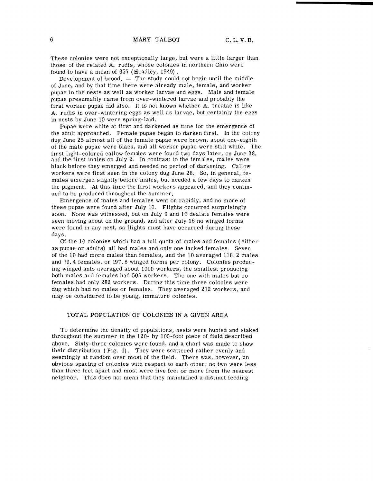These colonies were not exceptionally large, but were a little larger than those of the related A. rudis, whose colonies in northern Ohio were found to have a mean of 657 (Headley, 1949) .

Development of brood.  $-$  The study could not begin until the middle of June, and by that time there were already male, female, and worker pupae in the nests as well as worker larvae and eggs. Male and female pupae presumably came from over-wintered larvae and probably the first worker pupae did also. It is not known whether A. treatae is like A. rudis in over-wintering eggs as well as larvae, but certainly the eggs in nests by June 10 were spring-laid.

Pupae were white at first and darkened as time for the emergence of the adult approached. Female pupae began to darken first. In the colony dug June 25 almost all of the female pupae were brown, about one-eighth of the male pupae were black, and all worker pupae were still white. The first light-colored callow females were found two days later, on June 28, and the first males on July 2. In contrast to the females, males were black before they emerged and needed no period of darkening. Callow workers were first seen in the colony dug June 28. So, in general, females emerged slightly before males, but needed a few days to darken the pigment. At this time the first workers appeared, and they continued to be produced throughout the summer.

Emergence of males and females went on rapidly, and no more of these pupae were found after July 10. Flights occurred surprisingly soon. None was witnessed, but on July 9 and 10 dealate females were seen moving about on the ground, and after July 16 no winged forms were found in any nest, so flights must have occurred during these days.

Of the 10 colonies which had a full quota of males and females (either as pupae or adults) all had males and only one lacked females. Seven of the 10 had more males than females, and the 10 averaged 118.2 males and 79.4 females, or 197.6 winged forms per colony. Colonies producing winged ants averaged about 1000 workers, the smallest producing both males and females had 505 workers. The one with males but no females had only 282 workers. During this time three colonies were dug which had no males or females. They averaged 212 workers, and may be considered to be young, immature colonies.

#### TOTAL POPULATION OF COLONIES IN A GIVEN AREA

To determine the density of populations, nests were hunted and staked throughout the summer in the 120- by 1OO-foot piece of field described above, Sixty-three colonies were found, and a chart was made to show their distribution (Fig. 1). They were scattered rather evenly and seemingly at random over most of the field. There was, however, an obvious spacing of colonies with respect to each other; no two were less than three feet apart and most were five feet or more from the nearest neighbor. This does not mean that they maintained a distinct feeding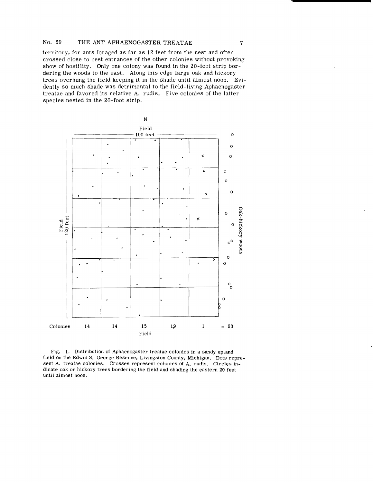#### No. 69 THE ANT APHAENOGASTER TREATAE

territory, for ants foraged as far as 12 feet from the nest and often crossed close to nest entrances of the other colonies without provoking show of hostility. Only one colony was found in the 20-foot strip bordering the woods to the east. Along this edge large oak and hickory trees overhung the field keeping it in the shade until almost noon. Evidently so much shade was detrimental to the field-living Aphaenogaster treatae and favored its relative A. rudis. Five colonies of the latter species nested in the 20-foot strip.



Fig. 1. Distribution of Aphaenogaster treatae colonies in a sandy upland field on the Edwin S. George Reserve, Livingston County, Michigan. Dots represent A. treatae colonies. Crosses represent colonies of A. rudis. Circles indicate oak or hickory trees bordering the field and shading the eastern 20 feet until almost noon.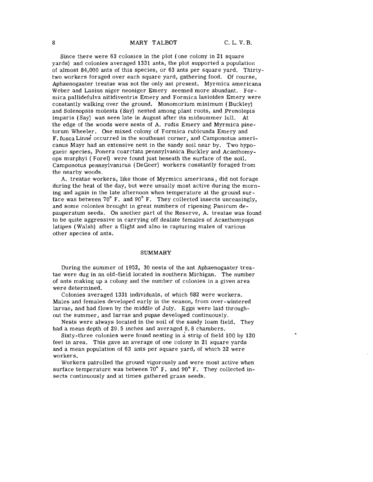Since there were 63 colonies in the plot (one colony in 21 square yards) and colonies averaged 1331 ants, the plot supported a population of almost 84,000 ants of this species, or 63 ants per square yard. Thirtytwo workers foraged over each square yard, gathering food. Of course, Aphaenogaster treatae was not the only ant present. Myrmica americana Weber and Lasius niger neoniger Emery seemed more abundant. Formica pallidefulva nitidiventris Emery and Formica lasioides Emery were constantly walking over the ground. Monomorium minimum (Buckley) and Solenopsis molesta (Say) nested among plant roots, and Prenolepis imparis (Say) was seen late in August after its midsummer lull. At the edge of the woods were nests of A. rudis Emery and Myrmica pinetorum Wheeler. One mixed colony of Formica rubicunda Emery and F. fusca Linne occurred in the southeast corner, and Camponotus americanus Mayr had an extensive nest in the sandy soil near by. Two hypogaeic species, Ponera coarctata pennsylvanica Buckley and Acanthomyops murphyi (Forel) were found just beneath the surface of the soil. Camponotus pennsylvanicus (DeGeer) workers constantly foraged from the nearby woods.

A. treatae workers, like those of Myrmica americana, did not forage during the heat of the day, but were usually most active during the morning and again in the late afternoon when temperature at the ground surface was between  $70^{\circ}$  F. and  $90^{\circ}$  F. They collected insects unceasingly, and some colonies brought in great numbers of ripening Panicum depauperatum seeds. On another part of the Reserve, A. treatae was found to be quite aggressive in carrying off dealate females of Acanthomyops latipes (Walsh) after a flight and also in capturing males of various other species of ants.

#### SUMMARY

During the summer of 1952, 30 nests of the ant Aphaenogaster treatae were dug in an old-field located in southern Michigan. The number of ants making up a colony and the number of colonies in a given area were determined.

Colonies averaged 1331 individuals, of which 682 were workers. Males and females developed early in the season, from over-wintered larvae, and had flown by the middle of July. Eggs were laid throughout the summer, and larvae and pupae developed continuously.

Nests were always located in the soil of the sandy loam field. They had a mean depth of 29. 5 inches and averaged 8.8 chambers.

Sixty-three colonies were found nesting in a strip of field 100 by  $120$ feet in area. This gave an average of one colony in 21 square yards and a mean population of 63 ants per square yard, of which 32 were workers.

Workers patrolled the ground vigorously and were most active when surface temperature was between 70° F. and 90° F. They collected insects continuously and at times gathered grass seeds.